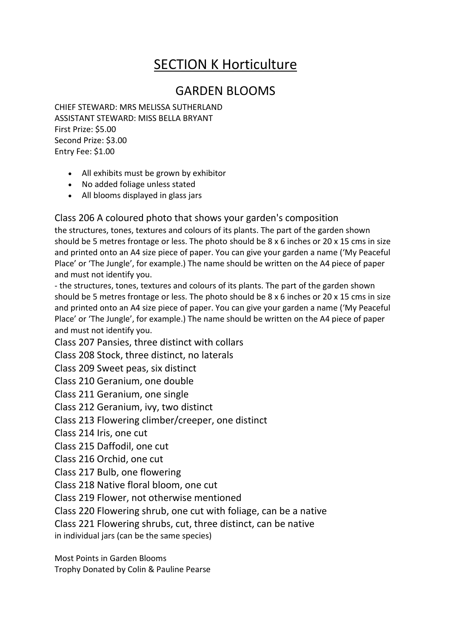## SECTION K Horticulture

## GARDEN BLOOMS

CHIEF STEWARD: MRS MELISSA SUTHERLAND ASSISTANT STEWARD: MISS BELLA BRYANT First Prize: \$5.00 Second Prize: \$3.00 Entry Fee: \$1.00

- All exhibits must be grown by exhibitor
- No added foliage unless stated
- All blooms displayed in glass jars

Class 206 A coloured photo that shows your garden's composition

the structures, tones, textures and colours of its plants. The part of the garden shown should be 5 metres frontage or less. The photo should be 8 x 6 inches or 20 x 15 cms in size and printed onto an A4 size piece of paper. You can give your garden a name ('My Peaceful Place' or 'The Jungle', for example.) The name should be written on the A4 piece of paper and must not identify you.

- the structures, tones, textures and colours of its plants. The part of the garden shown should be 5 metres frontage or less. The photo should be  $8 \times 6$  inches or  $20 \times 15$  cms in size and printed onto an A4 size piece of paper. You can give your garden a name ('My Peaceful Place' or 'The Jungle', for example.) The name should be written on the A4 piece of paper and must not identify you.

Class 207 Pansies, three distinct with collars

Class 208 Stock, three distinct, no laterals

Class 209 Sweet peas, six distinct

Class 210 Geranium, one double

Class 211 Geranium, one single

Class 212 Geranium, ivy, two distinct

Class 213 Flowering climber/creeper, one distinct

Class 214 Iris, one cut

Class 215 Daffodil, one cut

Class 216 Orchid, one cut

Class 217 Bulb, one flowering

Class 218 Native floral bloom, one cut

Class 219 Flower, not otherwise mentioned

Class 220 Flowering shrub, one cut with foliage, can be a native

Class 221 Flowering shrubs, cut, three distinct, can be native

in individual jars (can be the same species)

Most Points in Garden Blooms

Trophy Donated by Colin & Pauline Pearse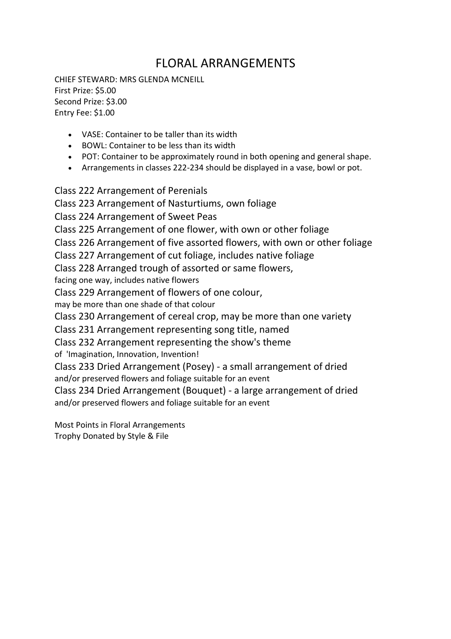## FLORAL ARRANGEMENTS

CHIEF STEWARD: MRS GLENDA MCNEILL First Prize: \$5.00 Second Prize: \$3.00 Entry Fee: \$1.00

- VASE: Container to be taller than its width
- BOWL: Container to be less than its width
- POT: Container to be approximately round in both opening and general shape.
- Arrangements in classes 222-234 should be displayed in a vase, bowl or pot.

Class 222 Arrangement of Perenials

Class 223 Arrangement of Nasturtiums, own foliage

Class 224 Arrangement of Sweet Peas

Class 225 Arrangement of one flower, with own or other foliage

Class 226 Arrangement of five assorted flowers, with own or other foliage

Class 227 Arrangement of cut foliage, includes native foliage

Class 228 Arranged trough of assorted or same flowers,

facing one way, includes native flowers

Class 229 Arrangement of flowers of one colour,

may be more than one shade of that colour

Class 230 Arrangement of cereal crop, may be more than one variety

Class 231 Arrangement representing song title, named

Class 232 Arrangement representing the show's theme

of 'Imagination, Innovation, Invention!

Class 233 Dried Arrangement (Posey) - a small arrangement of dried and/or preserved flowers and foliage suitable for an event

Class 234 Dried Arrangement (Bouquet) - a large arrangement of dried and/or preserved flowers and foliage suitable for an event

Most Points in Floral Arrangements Trophy Donated by Style & File